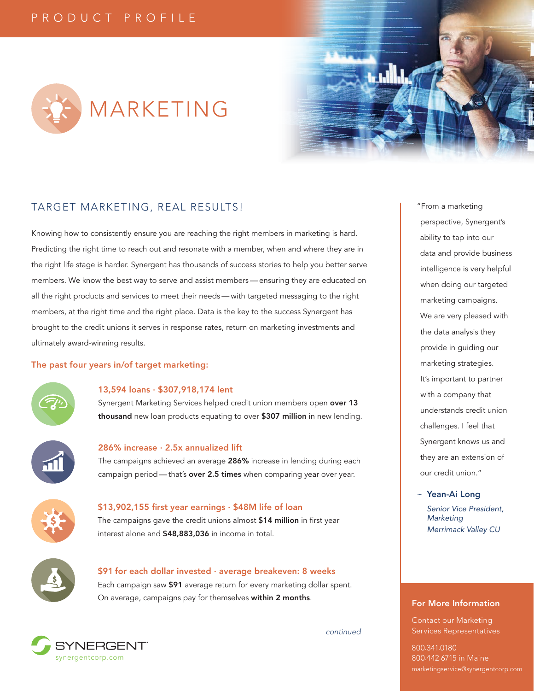



# TARGET MARKETING, REAL RESULTS!

Knowing how to consistently ensure you are reaching the right members in marketing is hard. Predicting the right time to reach out and resonate with a member, when and where they are in the right life stage is harder. Synergent has thousands of success stories to help you better serve members. We know the best way to serve and assist members — ensuring they are educated on all the right products and services to meet their needs — with targeted messaging to the right members, at the right time and the right place. Data is the key to the success Synergent has brought to the credit unions it serves in response rates, return on marketing investments and ultimately award-winning results.

### The past four years in/of target marketing:



### 13,594 loans · \$307,918,174 lent

Synergent Marketing Services helped credit union members open over 13 thousand new loan products equating to over \$307 million in new lending.

#### 286% increase · 2.5x annualized lift

The campaigns achieved an average 286% increase in lending during each campaign period - that's over 2.5 times when comparing year over year.



### \$13,902,155 first year earnings · \$48M life of loan

The campaigns gave the credit unions almost \$14 million in first year interest alone and \$48,883,036 in income in total.



## \$91 for each dollar invested · average breakeven: 8 weeks Each campaign saw \$91 average return for every marketing dollar spent. On average, campaigns pay for themselves within 2 months.



"From a marketing perspective, Synergent's ability to tap into our data and provide business intelligence is very helpful when doing our targeted marketing campaigns. We are very pleased with the data analysis they provide in guiding our marketing strategies. It's important to partner with a company that understands credit union challenges. I feel that Synergent knows us and they are an extension of our credit union."

~ Yean-Ai Long

*Senior Vice President, Marketing Merrimack Valley CU*

### For More Information

Contact our Marketing Services Representatives

*continued*

800.341.0180 800.442.6715 in Maine